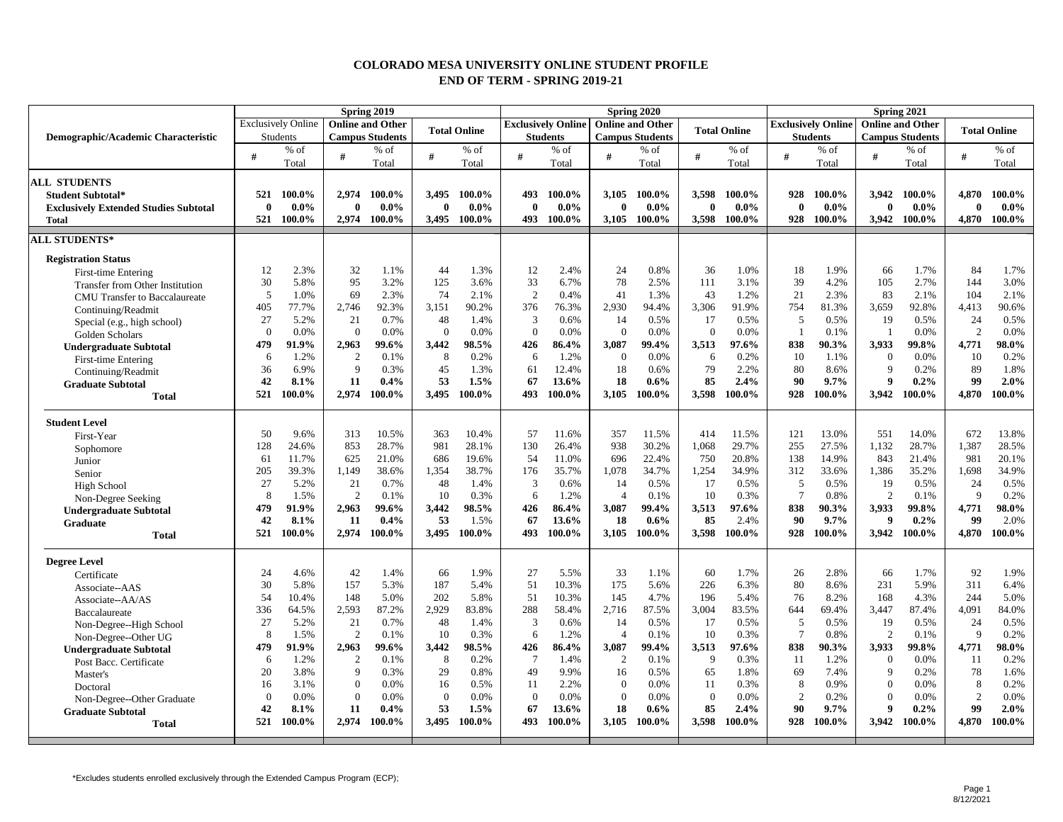## **COLORADO MESA UNIVERSITY ONLINE STUDENT PROFILE END OF TERM - SPRING 2019-21**

|                                              | Spring 2019  |                           |                  |                         |              |                     |                                              |                 |                | Spring 2020            |              |                     | Spring 2021                                  |         |                        |                         |                     |          |  |  |
|----------------------------------------------|--------------|---------------------------|------------------|-------------------------|--------------|---------------------|----------------------------------------------|-----------------|----------------|------------------------|--------------|---------------------|----------------------------------------------|---------|------------------------|-------------------------|---------------------|----------|--|--|
|                                              |              | <b>Exclusively Online</b> |                  | <b>Online and Other</b> |              | <b>Total Online</b> | <b>Exclusively Online   Online and Other</b> |                 |                |                        |              | <b>Total Online</b> | <b>Exclusively Online</b><br><b>Students</b> |         |                        | <b>Online and Other</b> | <b>Total Online</b> |          |  |  |
| Demographic/Academic Characteristic          |              | <b>Students</b>           |                  | <b>Campus Students</b>  |              |                     |                                              | <b>Students</b> |                | <b>Campus Students</b> |              |                     |                                              |         | <b>Campus Students</b> |                         |                     |          |  |  |
|                                              | #            | $%$ of                    | #                | % of                    | #            | $%$ of              | #                                            | $%$ of          | #              | % of                   | #            | $%$ of              | #                                            | % of    | #                      | $%$ of                  | #                   | $%$ of   |  |  |
|                                              |              | Total                     |                  | Total                   |              | Total               |                                              | Total           |                | Total                  |              | Total               |                                              | Total   |                        | Total                   |                     | Total    |  |  |
| <b>ALL STUDENTS</b>                          |              |                           |                  |                         |              |                     |                                              |                 |                |                        |              |                     |                                              |         |                        |                         |                     |          |  |  |
| <b>Student Subtotal*</b>                     | 521          | 100.0%                    | 2,974            | 100.0%                  | 3.495        | 100.0%              | 493                                          | 100.0%          | 3,105          | 100.0%                 | 3.598        | 100.0%              | 928                                          | 100.0%  |                        | 3.942 100.0%            | 4.870               | 100.0%   |  |  |
| <b>Exclusively Extended Studies Subtotal</b> | $\mathbf{0}$ | $0.0\%$                   | $\mathbf{0}$     | $0.0\%$                 | $\mathbf{0}$ | $0.0\%$             | $\mathbf{0}$                                 | $0.0\%$         | 0              | $0.0\%$                | $\mathbf{0}$ | $0.0\%$             | $\mathbf{0}$                                 | $0.0\%$ | $\mathbf{0}$           | $0.0\%$                 | $\mathbf{0}$        | $0.0\%$  |  |  |
| Total                                        | 521          | 100.0%                    | 2.974            | 100.0%                  | 3.495        | 100.0%              | 493                                          | 100.0%          | 3,105          | 100.0%                 | 3.598        | 100.0%              | 928                                          | 100.0%  |                        | 3.942 100.0%            | 4.870               | 100.0%   |  |  |
| <b>ALL STUDENTS*</b>                         |              |                           |                  |                         |              |                     |                                              |                 |                |                        |              |                     |                                              |         |                        |                         |                     |          |  |  |
| <b>Registration Status</b>                   |              |                           |                  |                         |              |                     |                                              |                 |                |                        |              |                     |                                              |         |                        |                         |                     |          |  |  |
| <b>First-time Entering</b>                   | 12           | 2.3%                      | 32               | 1.1%                    | 44           | 1.3%                | 12                                           | 2.4%            | 24             | 0.8%                   | 36           | 1.0%                | 18                                           | 1.9%    | 66                     | 1.7%                    | 84                  | 1.7%     |  |  |
| Transfer from Other Institution              | 30           | 5.8%                      | 95               | 3.2%                    | 125          | 3.6%                | 33                                           | 6.7%            | 78             | 2.5%                   | 111          | 3.1%                | 39                                           | 4.2%    | 105                    | 2.7%                    | 144                 | 3.0%     |  |  |
| <b>CMU</b> Transfer to Baccalaureate         | .5           | 1.0%                      | 69               | 2.3%                    | 74           | 2.1%                | 2                                            | 0.4%            | 41             | 1.3%                   | 43           | 1.2%                | 21                                           | 2.3%    | 83                     | 2.1%                    | 104                 | 2.1%     |  |  |
| Continuing/Readmit                           | 405          | 77.7%                     | 2.746            | 92.3%                   | 3,151        | 90.2%               | 376                                          | 76.3%           | 2.930          | 94.4%                  | 3.306        | 91.9%               | 754                                          | 81.3%   | 3.659                  | 92.8%                   | 4.413               | 90.6%    |  |  |
| Special (e.g., high school)                  | 27           | 5.2%                      | 21               | 0.7%                    | 48           | 1.4%                | $\overline{3}$                               | 0.6%            | 14             | 0.5%                   | 17           | 0.5%                | 5                                            | 0.5%    | 19                     | 0.5%                    | 24                  | 0.5%     |  |  |
| Golden Scholars                              | $\Omega$     | 0.0%                      | $\overline{0}$   | 0.0%                    | $\Omega$     | 0.0%                | $\overline{0}$                               | 0.0%            | $\Omega$       | 0.0%                   | $\mathbf{0}$ | 0.0%                | $\overline{1}$                               | 0.1%    |                        | 0.0%                    | 2                   | 0.0%     |  |  |
| <b>Undergraduate Subtotal</b>                | 479          | 91.9%                     | 2.963            | 99.6%                   | 3.442        | 98.5%               | 426                                          | 86.4%           | 3.087          | 99.4%                  | 3,513        | 97.6%               | 838                                          | 90.3%   | 3,933                  | 99.8%                   | 4,771               | $98.0\%$ |  |  |
| First-time Entering                          | 6            | 1.2%                      | 2                | 0.1%                    | 8            | 0.2%                | 6                                            | 1.2%            | $\Omega$       | 0.0%                   | 6            | 0.2%                | 10                                           | 1.1%    | $\Omega$               | 0.0%                    | 10                  | 0.2%     |  |  |
| Continuing/Readmit                           | 36           | 6.9%                      | $\mathbf Q$      | 0.3%                    | 45           | 1.3%                | 61                                           | 12.4%           | 18             | 0.6%                   | 79           | 2.2%                | 80                                           | 8.6%    | $\mathbf{Q}$           | 0.2%                    | 89                  | 1.8%     |  |  |
| <b>Graduate Subtotal</b>                     | 42           | 8.1%                      | 11               | 0.4%                    | 53           | 1.5%                | 67                                           | 13.6%           | 18             | $0.6\%$                | 85           | 2.4%                | 90                                           | 9.7%    | $\mathbf q$            | 0.2%                    | 99                  | 2.0%     |  |  |
| <b>Total</b>                                 | 521          | 100.0%                    | 2.974            | 100.0%                  | 3,495        | 100.0%              | 493                                          | 100.0%          | 3,105          | 100.0%                 | 3,598        | 100.0%              | 928                                          | 100.0%  | 3,942                  | 100.0%                  | 4,870               | 100.0%   |  |  |
|                                              |              |                           |                  |                         |              |                     |                                              |                 |                |                        |              |                     |                                              |         |                        |                         |                     |          |  |  |
| <b>Student Level</b>                         |              |                           |                  |                         |              |                     |                                              |                 |                |                        |              |                     |                                              |         |                        |                         |                     |          |  |  |
| First-Year                                   | 50           | 9.6%                      | 313              | 10.5%                   | 363          | 10.4%               | 57                                           | 11.6%           | 357            | 11.5%                  | 414          | 11.5%               | 121                                          | 13.0%   | 551                    | 14.0%                   | 672                 | 13.8%    |  |  |
| Sophomore                                    | 128          | 24.6%                     | 853              | 28.7%                   | 981          | 28.1%               | 130                                          | 26.4%           | 938            | 30.2%                  | 1,068        | 29.7%               | 255                                          | 27.5%   | 1,132                  | 28.7%                   | 1,387               | 28.5%    |  |  |
| Junior                                       | 61           | 11.7%                     | 625              | 21.0%                   | 686          | 19.6%               | 54                                           | 11.0%           | 696            | 22.4%                  | 750          | 20.8%               | 138                                          | 14.9%   | 843                    | 21.4%                   | 981                 | 20.1%    |  |  |
| Senior                                       | 205          | 39.3%                     | 1,149            | 38.6%                   | 1,354        | 38.7%               | 176                                          | 35.7%           | 1,078          | 34.7%                  | 1,254        | 34.9%               | 312                                          | 33.6%   | 1,386                  | 35.2%                   | 1,698               | 34.9%    |  |  |
| High School                                  | 27           | 5.2%                      | 21               | 0.7%                    | 48           | 1.4%                | $\overline{3}$                               | 0.6%            | 14             | 0.5%                   | 17           | 0.5%                | 5                                            | 0.5%    | 19                     | 0.5%                    | 24                  | 0.5%     |  |  |
| Non-Degree Seeking                           | 8            | 1.5%                      | 2                | 0.1%                    | 10           | 0.3%                | 6                                            | 1.2%            | $\overline{4}$ | 0.1%                   | 10           | 0.3%                | $\tau$                                       | 0.8%    | $\mathcal{D}$          | 0.1%                    | 9                   | 0.2%     |  |  |
| <b>Undergraduate Subtotal</b>                | 479          | 91.9%                     | 2.963            | 99.6%                   | 3,442        | 98.5%               | 426                                          | 86.4%           | 3.087          | 99.4%                  | 3,513        | 97.6%               | 838                                          | 90.3%   | 3.933                  | 99.8%                   | 4,771               | 98.0%    |  |  |
| Graduate                                     | 42           | 8.1%                      | 11               | 0.4%                    | 53           | 1.5%                | 67                                           | 13.6%           | 18             | $0.6\%$                | 85           | 2.4%                | 90                                           | 9.7%    | $\boldsymbol{9}$       | 0.2%                    | 99                  | 2.0%     |  |  |
| <b>Total</b>                                 | 521          | 100.0%                    | 2.974            | 100.0%                  | 3.495        | 100.0%              | 493                                          | 100.0%          | 3.105          | 100.0%                 | 3.598        | 100.0%              | 928                                          | 100.0%  |                        | 3.942 100.0%            | 4.870               | 100.0%   |  |  |
| <b>Degree Level</b>                          |              |                           |                  |                         |              |                     |                                              |                 |                |                        |              |                     |                                              |         |                        |                         |                     |          |  |  |
| Certificate                                  | 24           | 4.6%                      | 42               | 1.4%                    | 66           | 1.9%                | 27                                           | 5.5%            | 33             | 1.1%                   | 60           | 1.7%                | 26                                           | 2.8%    | 66                     | 1.7%                    | 92                  | 1.9%     |  |  |
| Associate-AAS                                | 30           | 5.8%                      | 157              | 5.3%                    | 187          | 5.4%                | 51                                           | 10.3%           | 175            | 5.6%                   | 226          | 6.3%                | 80                                           | 8.6%    | 231                    | 5.9%                    | 311                 | 6.4%     |  |  |
| Associate--AA/AS                             | 54           | 10.4%                     | 148              | 5.0%                    | 202          | 5.8%                | 51                                           | 10.3%           | 145            | 4.7%                   | 196          | 5.4%                | 76                                           | 8.2%    | 168                    | 4.3%                    | 244                 | 5.0%     |  |  |
| Baccalaureate                                | 336          | 64.5%                     | 2,593            | 87.2%                   | 2,929        | 83.8%               | 288                                          | 58.4%           | 2,716          | 87.5%                  | 3,004        | 83.5%               | 644                                          | 69.4%   | 3,447                  | 87.4%                   | 4,091               | 84.0%    |  |  |
| Non-Degree--High School                      | 27           | 5.2%                      | 21               | 0.7%                    | 48           | 1.4%                | $\overline{3}$                               | 0.6%            | 14             | 0.5%                   | 17           | 0.5%                | 5                                            | 0.5%    | 19                     | 0.5%                    | 24                  | 0.5%     |  |  |
| Non-Degree--Other UG                         | $\mathbf{8}$ | 1.5%                      | $\overline{2}$   | 0.1%                    | 10           | 0.3%                | 6                                            | 1.2%            | $\overline{4}$ | 0.1%                   | 10           | 0.3%                | $\tau$                                       | 0.8%    | $\mathcal{D}$          | 0.1%                    | 9                   | 0.2%     |  |  |
| <b>Undergraduate Subtotal</b>                | 479          | 91.9%                     | 2.963            | 99.6%                   | 3,442        | 98.5%               | 426                                          | 86.4%           | 3.087          | 99.4%                  | 3,513        | 97.6%               | 838                                          | 90.3%   | 3.933                  | 99.8%                   | 4,771               | 98.0%    |  |  |
| Post Bacc. Certificate                       | 6            | 1.2%                      | 2                | 0.1%                    | 8            | 0.2%                | $\overline{7}$                               | 1.4%            | 2              | 0.1%                   | 9            | 0.3%                | 11                                           | 1.2%    | $\overline{0}$         | 0.0%                    | 11                  | 0.2%     |  |  |
| Master's                                     | 20           | 3.8%                      | 9                | 0.3%                    | 29           | 0.8%                | 49                                           | 9.9%            | 16             | 0.5%                   | 65           | 1.8%                | 69                                           | 7.4%    | 9                      | 0.2%                    | 78                  | 1.6%     |  |  |
| Doctoral                                     | 16           | 3.1%                      | $\overline{0}$   | 0.0%                    | 16           | 0.5%                | 11                                           | 2.2%            | $\Omega$       | 0.0%                   | 11           | 0.3%                | 8                                            | 0.9%    | $\Omega$               | 0.0%                    | 8                   | 0.2%     |  |  |
| Non-Degree--Other Graduate                   | $\Omega$     | 0.0%                      | $\boldsymbol{0}$ | 0.0%                    | $\Omega$     | 0.0%                | $\overline{0}$                               | 0.0%            | $\Omega$       | 0.0%                   | $\mathbf{0}$ | 0.0%                | 2                                            | 0.2%    | $\Omega$               | 0.0%                    | $\overline{2}$      | 0.0%     |  |  |
| <b>Graduate Subtotal</b>                     | 42           | 8.1%                      | 11               | 0.4%                    | 53           | 1.5%                | 67                                           | 13.6%           | 18             | $0.6\%$                | 85           | 2.4%                | 90                                           | 9.7%    | $\mathbf{Q}$           | $0.2\%$                 | 99                  | 2.0%     |  |  |
| <b>Total</b>                                 | 521          | 100.0%                    | 2,974            | 100.0%                  | 3,495        | 100.0%              | 493                                          | 100.0%          | 3,105          | 100.0%                 | 3,598        | 100.0%              | 928                                          | 100.0%  | 3,942                  | 100.0%                  | 4,870               | 100.0%   |  |  |
|                                              |              |                           |                  |                         |              |                     |                                              |                 |                |                        |              |                     |                                              |         |                        |                         |                     |          |  |  |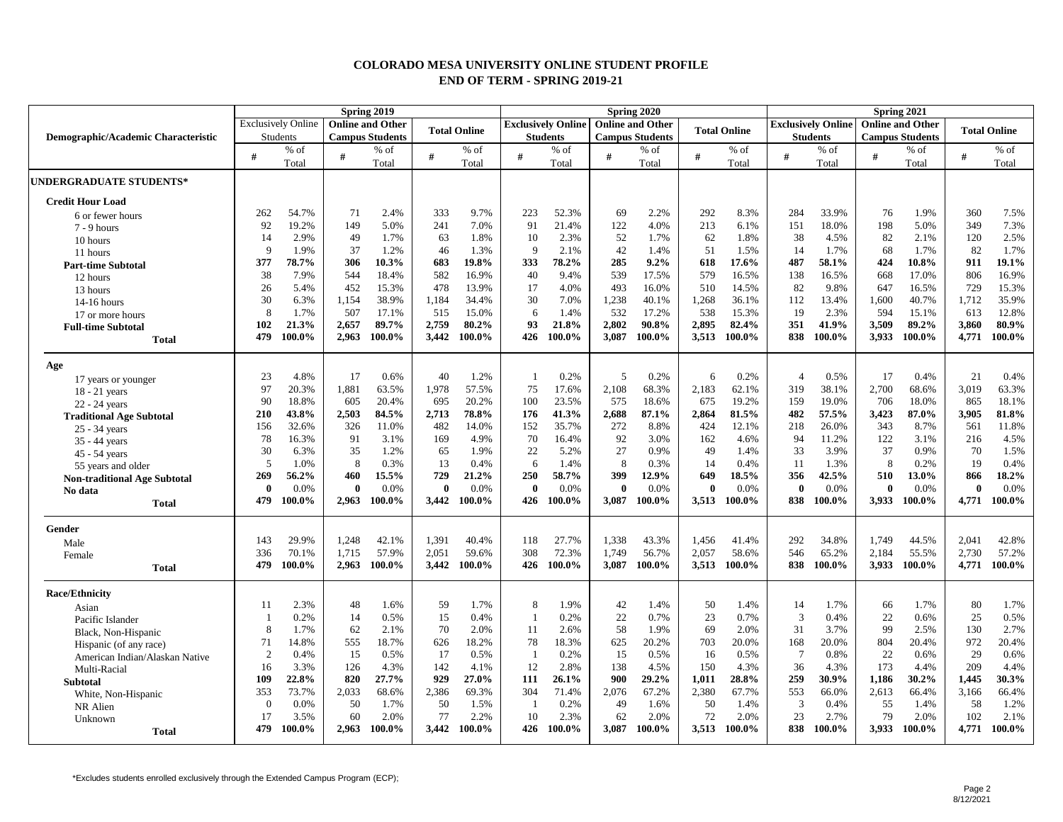## **COLORADO MESA UNIVERSITY ONLINE STUDENT PROFILE END OF TERM - SPRING 2019-21**

|                                     |                                                      | Spring 2019<br>Spring 2020<br>Spring 2021 |              |                        |                     |                                                      |                |                 |          |                        |              |                           |                     |                 |              |                        |          |        |
|-------------------------------------|------------------------------------------------------|-------------------------------------------|--------------|------------------------|---------------------|------------------------------------------------------|----------------|-----------------|----------|------------------------|--------------|---------------------------|---------------------|-----------------|--------------|------------------------|----------|--------|
|                                     | <b>Online and Other</b><br><b>Exclusively Online</b> |                                           |              |                        | <b>Total Online</b> | <b>Exclusively Online</b><br><b>Online and Other</b> |                |                 |          | <b>Total Online</b>    |              | <b>Exclusively Online</b> | <b>Total Online</b> |                 |              |                        |          |        |
| Demographic/Academic Characteristic |                                                      | <b>Students</b>                           |              | <b>Campus Students</b> |                     |                                                      |                | <b>Students</b> |          | <b>Campus Students</b> |              |                           |                     | <b>Students</b> |              | <b>Campus Students</b> |          |        |
|                                     | #                                                    | % of                                      | #            | $%$ of                 | #                   | % of                                                 | #              | $%$ of          | #        | $%$ of                 | #            | $%$ of                    | #                   | $%$ of          | #            | $%$ of                 | #        | $%$ of |
|                                     |                                                      | Total                                     |              | Total                  |                     | Total                                                |                | Total           |          | Total                  |              | Total                     |                     | Total           |              | Total                  |          | Total  |
| <b>UNDERGRADUATE STUDENTS*</b>      |                                                      |                                           |              |                        |                     |                                                      |                |                 |          |                        |              |                           |                     |                 |              |                        |          |        |
| <b>Credit Hour Load</b>             |                                                      |                                           |              |                        |                     |                                                      |                |                 |          |                        |              |                           |                     |                 |              |                        |          |        |
| 6 or fewer hours                    | 262                                                  | 54.7%                                     | 71           | 2.4%                   | 333                 | 9.7%                                                 | 223            | 52.3%           | 69       | 2.2%                   | 292          | 8.3%                      | 284                 | 33.9%           | 76           | 1.9%                   | 360      | 7.5%   |
| $7 - 9$ hours                       | 92                                                   | 19.2%                                     | 149          | 5.0%                   | 241                 | 7.0%                                                 | 91             | 21.4%           | 122      | 4.0%                   | 213          | 6.1%                      | 151                 | 18.0%           | 198          | 5.0%                   | 349      | 7.3%   |
| 10 hours                            | 14                                                   | 2.9%                                      | 49           | 1.7%                   | 63                  | 1.8%                                                 | 10             | 2.3%            | 52       | 1.7%                   | 62           | 1.8%                      | 38                  | 4.5%            | 82           | 2.1%                   | 120      | 2.5%   |
| 11 hours                            | 9                                                    | 1.9%                                      | 37           | 1.2%                   | 46                  | 1.3%                                                 | 9              | 2.1%            | 42       | 1.4%                   | 51           | 1.5%                      | 14                  | 1.7%            | 68           | 1.7%                   | 82       | 1.7%   |
| <b>Part-time Subtotal</b>           | 377                                                  | 78.7%                                     | 306          | 10.3%                  | 683                 | 19.8%                                                | 333            | 78.2%           | 285      | $9.2\%$                | 618          | 17.6%                     | 487                 | 58.1%           | 424          | 10.8%                  | 911      | 19.1%  |
| 12 hours                            | 38                                                   | 7.9%                                      | 544          | 18.4%                  | 582                 | 16.9%                                                | 40             | 9.4%            | 539      | 17.5%                  | 579          | 16.5%                     | 138                 | 16.5%           | 668          | 17.0%                  | 806      | 16.9%  |
| 13 hours                            | 26                                                   | 5.4%                                      | 452          | 15.3%                  | 478                 | 13.9%                                                | 17             | 4.0%            | 493      | 16.0%                  | 510          | 14.5%                     | 82                  | 9.8%            | 647          | 16.5%                  | 729      | 15.3%  |
| 14-16 hours                         | 30                                                   | 6.3%                                      | 1,154        | 38.9%                  | 1,184               | 34.4%                                                | 30             | 7.0%            | 1,238    | 40.1%                  | 1,268        | 36.1%                     | 112                 | 13.4%           | 1.600        | 40.7%                  | 1,712    | 35.9%  |
| 17 or more hours                    | 8                                                    | 1.7%                                      | 507          | 17.1%                  | 515                 | 15.0%                                                | 6              | 1.4%            | 532      | 17.2%                  | 538          | 15.3%                     | 19                  | 2.3%            | 594          | 15.1%                  | 613      | 12.8%  |
| <b>Full-time Subtotal</b>           | 102                                                  | 21.3%                                     | 2,657        | 89.7%                  | 2,759               | 80.2%                                                | 93             | 21.8%           | 2,802    | 90.8%                  | 2,895        | 82.4%                     | 351                 | 41.9%           | 3,509        | 89.2%                  | 3,860    | 80.9%  |
| <b>Total</b>                        | 479                                                  | 100.0%                                    | 2,963        | 100.0%                 | 3,442               | 100.0%                                               | 426            | 100.0%          | 3,087    | 100.0%                 | 3,513        | 100.0%                    | 838                 | 100.0%          | 3,933        | 100.0%                 | 4,771    | 100.0% |
| Age                                 |                                                      |                                           |              |                        |                     |                                                      |                |                 |          |                        |              |                           |                     |                 |              |                        |          |        |
| 17 years or younger                 | 23                                                   | 4.8%                                      | 17           | 0.6%                   | 40                  | 1.2%                                                 | $\overline{1}$ | 0.2%            | 5        | 0.2%                   | 6            | 0.2%                      | $\overline{4}$      | 0.5%            | 17           | 0.4%                   | 21       | 0.4%   |
| 18 - 21 years                       | 97                                                   | 20.3%                                     | 1,881        | 63.5%                  | 1,978               | 57.5%                                                | 75             | 17.6%           | 2,108    | 68.3%                  | 2,183        | 62.1%                     | 319                 | 38.1%           | 2,700        | 68.6%                  | 3,019    | 63.3%  |
| 22 - 24 years                       | 90                                                   | 18.8%                                     | 605          | 20.4%                  | 695                 | 20.2%                                                | 100            | 23.5%           | 575      | 18.6%                  | 675          | 19.2%                     | 159                 | 19.0%           | 706          | 18.0%                  | 865      | 18.1%  |
| <b>Traditional Age Subtotal</b>     | 210                                                  | 43.8%                                     | 2,503        | 84.5%                  | 2,713               | 78.8%                                                | 176            | 41.3%           | 2,688    | 87.1%                  | 2,864        | 81.5%                     | 482                 | 57.5%           | 3,423        | 87.0%                  | 3,905    | 81.8%  |
| 25 - 34 years                       | 156                                                  | 32.6%                                     | 326          | 11.0%                  | 482                 | 14.0%                                                | 152            | 35.7%           | 272      | 8.8%                   | 424          | 12.1%                     | 218                 | 26.0%           | 343          | 8.7%                   | 561      | 11.8%  |
| 35 - 44 years                       | 78                                                   | 16.3%                                     | 91           | 3.1%                   | 169                 | 4.9%                                                 | 70             | 16.4%           | 92       | 3.0%                   | 162          | 4.6%                      | 94                  | 11.2%           | 122          | 3.1%                   | 216      | 4.5%   |
| 45 - 54 years                       | 30                                                   | 6.3%                                      | 35           | 1.2%                   | 65                  | 1.9%                                                 | 22             | 5.2%            | 27       | 0.9%                   | 49           | 1.4%                      | 33                  | 3.9%            | 37           | 0.9%                   | 70       | 1.5%   |
| 55 years and older                  | 5                                                    | 1.0%                                      | 8            | 0.3%                   | 13                  | 0.4%                                                 | 6              | 1.4%            | 8        | 0.3%                   | 14           | 0.4%                      | 11                  | 1.3%            | 8            | 0.2%                   | 19       | 0.4%   |
| <b>Non-traditional Age Subtotal</b> | 269                                                  | 56.2%                                     | 460          | 15.5%                  | 729                 | 21.2%                                                | 250            | 58.7%           | 399      | 12.9%                  | 649          | 18.5%                     | 356                 | 42.5%           | 510          | 13.0%                  | 866      | 18.2%  |
| No data                             | $\theta$                                             | 0.0%                                      | $\mathbf{0}$ | 0.0%                   | $\theta$            | 0.0%                                                 | $\mathbf{0}$   | 0.0%            | $\theta$ | 0.0%                   | $\mathbf{0}$ | 0.0%                      | $\bf{0}$            | 0.0%            | $\mathbf{0}$ | 0.0%                   | $\bf{0}$ | 0.0%   |
| <b>Total</b>                        | 479                                                  | 100.0%                                    | 2.963        | 100.0%                 | 3.442               | 100.0%                                               | 426            | 100.0%          | 3.087    | 100.0%                 | 3.513        | 100.0%                    | 838                 | 100.0%          | 3.933        | 100.0%                 | 4.771    | 100.0% |
| Gender                              |                                                      |                                           |              |                        |                     |                                                      |                |                 |          |                        |              |                           |                     |                 |              |                        |          |        |
| Male                                | 143                                                  | 29.9%                                     | 1,248        | 42.1%                  | 1.391               | 40.4%                                                | 118            | 27.7%           | 1,338    | 43.3%                  | 1.456        | 41.4%                     | 292                 | 34.8%           | 1.749        | 44.5%                  | 2,041    | 42.8%  |
| Female                              | 336                                                  | 70.1%                                     | 1.715        | 57.9%                  | 2,051               | 59.6%                                                | 308            | 72.3%           | 1,749    | 56.7%                  | 2.057        | 58.6%                     | 546                 | 65.2%           | 2,184        | 55.5%                  | 2.730    | 57.2%  |
| <b>Total</b>                        | 479                                                  | 100.0%                                    | 2,963        | 100.0%                 | 3,442               | 100.0%                                               | 426            | 100.0%          | 3,087    | 100.0%                 | 3,513        | 100.0%                    | 838                 | 100.0%          | 3,933        | 100.0%                 | 4,771    | 100.0% |
| <b>Race/Ethnicity</b>               |                                                      |                                           |              |                        |                     |                                                      |                |                 |          |                        |              |                           |                     |                 |              |                        |          |        |
| Asian                               | 11                                                   | 2.3%                                      | 48           | 1.6%                   | 59                  | 1.7%                                                 | 8              | 1.9%            | 42       | 1.4%                   | 50           | 1.4%                      | 14                  | 1.7%            | 66           | 1.7%                   | 80       | 1.7%   |
| Pacific Islander                    | - 1                                                  | 0.2%                                      | 14           | 0.5%                   | 15                  | 0.4%                                                 | $\overline{1}$ | 0.2%            | 22       | 0.7%                   | 23           | 0.7%                      | 3                   | 0.4%            | 22           | 0.6%                   | 25       | 0.5%   |
| Black, Non-Hispanic                 | 8                                                    | 1.7%                                      | 62           | 2.1%                   | 70                  | 2.0%                                                 | 11             | 2.6%            | 58       | 1.9%                   | 69           | 2.0%                      | 31                  | 3.7%            | 99           | 2.5%                   | 130      | 2.7%   |
| Hispanic (of any race)              | 71                                                   | 14.8%                                     | 555          | 18.7%                  | 626                 | 18.2%                                                | 78             | 18.3%           | 625      | 20.2%                  | 703          | 20.0%                     | 168                 | 20.0%           | 804          | 20.4%                  | 972      | 20.4%  |
| American Indian/Alaskan Native      | $\overline{2}$                                       | 0.4%                                      | 15           | 0.5%                   | 17                  | 0.5%                                                 | $\overline{1}$ | 0.2%            | 15       | 0.5%                   | 16           | 0.5%                      | $\overline{7}$      | 0.8%            | 22           | 0.6%                   | 29       | 0.6%   |
| Multi-Racial                        | 16                                                   | 3.3%                                      | 126          | 4.3%                   | 142                 | 4.1%                                                 | 12             | 2.8%            | 138      | 4.5%                   | 150          | 4.3%                      | 36                  | 4.3%            | 173          | 4.4%                   | 209      | 4.4%   |
| <b>Subtotal</b>                     | 109                                                  | 22.8%                                     | 820          | 27.7%                  | 929                 | 27.0%                                                | 111            | 26.1%           | 900      | 29.2%                  | 1.011        | 28.8%                     | 259                 | 30.9%           | 1,186        | 30.2%                  | 1.445    | 30.3%  |
| White, Non-Hispanic                 | 353                                                  | 73.7%                                     | 2,033        | 68.6%                  | 2,386               | 69.3%                                                | 304            | 71.4%           | 2,076    | 67.2%                  | 2,380        | 67.7%                     | 553                 | 66.0%           | 2,613        | 66.4%                  | 3,166    | 66.4%  |
| NR Alien                            | $\overline{0}$                                       | 0.0%                                      | 50           | 1.7%                   | 50                  | 1.5%                                                 | $\overline{1}$ | 0.2%            | 49       | 1.6%                   | 50           | 1.4%                      | 3                   | 0.4%            | 55           | 1.4%                   | 58       | 1.2%   |
| Unknown                             | 17                                                   | 3.5%                                      | 60           | 2.0%                   | 77                  | 2.2%                                                 | 10             | 2.3%            | 62       | 2.0%                   | 72           | 2.0%                      | 23                  | 2.7%            | 79           | 2.0%                   | 102      | 2.1%   |
| <b>Total</b>                        | 479                                                  | 100.0%                                    | 2.963        | 100.0%                 | 3.442               | 100.0%                                               | 426            | 100.0%          | 3.087    | 100.0%                 | 3.513        | 100.0%                    | 838                 | 100.0%          | 3.933        | 100.0%                 | 4.771    | 100.0% |